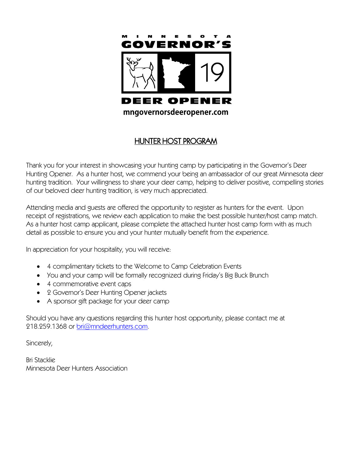

## HUNTER HOST PROGRAM

Thank you for your interest in showcasing your hunting camp by participating in the Governor's Deer Hunting Opener. As a hunter host, we commend your being an ambassador of our great Minnesota deer hunting tradition. Your willingness to share your deer camp, helping to deliver positive, compelling stories of our beloved deer hunting tradition, is very much appreciated.

Attending media and guests are offered the opportunity to register as hunters for the event. Upon receipt of registrations, we review each application to make the best possible hunter/host camp match. As a hunter host camp applicant, please complete the attached hunter host camp form with as much detail as possible to ensure you and your hunter mutually benefit from the experience.

In appreciation for your hospitality, you will receive:

- 4 complimentary tickets to the Welcome to Camp Celebration Events
- You and your camp will be formally recognized during Friday's Big Buck Brunch
- 4 commemorative event caps
- 2 Governor's Deer Hunting Opener jackets
- A sponsor gift package for your deer camp

Should you have any questions regarding this hunter host opportunity, please contact me at 218.259.1368 or [bri@mndeerhunters.com.](mailto:bri@mndeerhunters.com)

Sincerely,

Bri Stacklie Minnesota Deer Hunters Association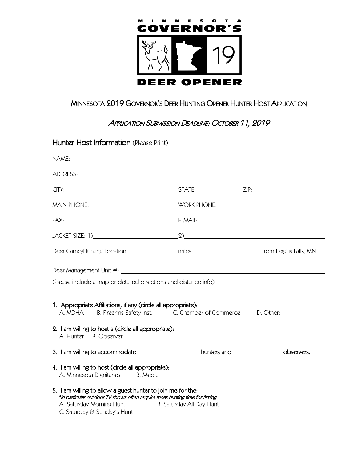

## MINNESOTA 2019 GOVERNOR'S DEER HUNTING OPENER HUNTER HOST APPLICATION

## APPLICATION SUBMISSION DEADLINE: OCTOBER 11, 2019

| Hunter Host Information (Please Print)                                                                                                                                                                                          |  |
|---------------------------------------------------------------------------------------------------------------------------------------------------------------------------------------------------------------------------------|--|
|                                                                                                                                                                                                                                 |  |
|                                                                                                                                                                                                                                 |  |
|                                                                                                                                                                                                                                 |  |
|                                                                                                                                                                                                                                 |  |
|                                                                                                                                                                                                                                 |  |
|                                                                                                                                                                                                                                 |  |
|                                                                                                                                                                                                                                 |  |
|                                                                                                                                                                                                                                 |  |
| (Please include a map or detailed directions and distance info)                                                                                                                                                                 |  |
| 1. Appropriate Affiliations, if any (circle all appropriate):<br>A. MDHA B. Firearms Safety Inst. C. Chamber of Commerce D. Other:                                                                                              |  |
| 2. I am willing to host a (circle all appropriate):<br>A. Hunter B. Observer                                                                                                                                                    |  |
| 3. I am willing to accommodate _________________________hunters and___________________observers.                                                                                                                                |  |
| 4. I am willing to host (circle all appropriate):<br>A. Minnesota Dignitaries B. Media                                                                                                                                          |  |
| 5. I am willing to allow a guest hunter to join me for the:<br>*In particular outdoor TV shows often require more hunting time for filming.<br>A. Saturday Morning Hunt B. Saturday All Day Hunt<br>C. Saturday & Sunday's Hunt |  |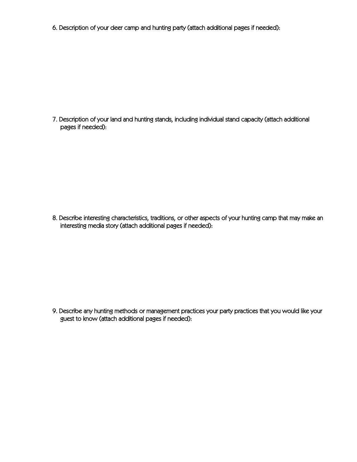6. Description of your deer camp and hunting party (attach additional pages if needed):

7. Description of your land and hunting stands, including individual stand capacity (attach additional pages if needed):

8. Describe interesting characteristics, traditions, or other aspects of your hunting camp that may make an interesting media story (attach additional pages if needed):

9. Describe any hunting methods or management practices your party practices that you would like your guest to know (attach additional pages if needed):